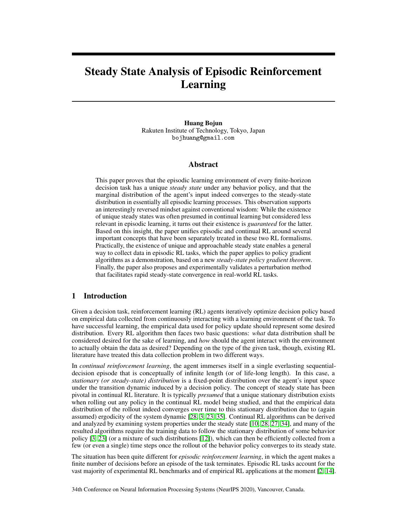# Steady State Analysis of Episodic Reinforcement Learning

Huang Bojun Rakuten Institute of Technology, Tokyo, Japan bojhuang@gmail.com

#### Abstract

This paper proves that the episodic learning environment of every finite-horizon decision task has a unique *steady state* under any behavior policy, and that the marginal distribution of the agent's input indeed converges to the steady-state distribution in essentially all episodic learning processes. This observation supports an interestingly reversed mindset against conventional wisdom: While the existence of unique steady states was often presumed in continual learning but considered less relevant in episodic learning, it turns out their existence is *guaranteed* for the latter. Based on this insight, the paper unifies episodic and continual RL around several important concepts that have been separately treated in these two RL formalisms. Practically, the existence of unique and approachable steady state enables a general way to collect data in episodic RL tasks, which the paper applies to policy gradient algorithms as a demonstration, based on a new *steady-state policy gradient theorem*. Finally, the paper also proposes and experimentally validates a perturbation method that facilitates rapid steady-state convergence in real-world RL tasks.

# 1 Introduction

Given a decision task, reinforcement learning (RL) agents iteratively optimize decision policy based on empirical data collected from continuously interacting with a learning environment of the task. To have successful learning, the empirical data used for policy update should represent some desired distribution. Every RL algorithm then faces two basic questions: *what* data distribution shall be considered desired for the sake of learning, and *how* should the agent interact with the environment to actually obtain the data as desired? Depending on the type of the given task, though, existing RL literature have treated this data collection problem in two different ways.

In *continual reinforcement learning*, the agent immerses itself in a single everlasting sequentialdecision episode that is conceptually of infinite length (or of life-long length). In this case, a *stationary (or steady-state) distribution* is a fixed-point distribution over the agent's input space under the transition dynamic induced by a decision policy. The concept of steady state has been pivotal in continual RL literature. It is typically *presumed* that a unique stationary distribution exists when rolling out any policy in the continual RL model being studied, and that the empirical data distribution of the rollout indeed converges over time to this stationary distribution due to (again assumed) ergodicity of the system dynamic [\[28,](#page-10-0) [3,](#page-9-0) [23,](#page-10-1) [35\]](#page-10-2). Continual RL algorithms can be derived and analyzed by examining system properties under the steady state [\[10,](#page-9-1) [28,](#page-10-0) [27,](#page-10-3) [34\]](#page-10-4), and many of the resulted algorithms require the training data to follow the stationary distribution of some behavior policy [\[3,](#page-9-0) [23\]](#page-10-1) (or a mixture of such distributions [\[12\]](#page-9-2)), which can then be efficiently collected from a few (or even a single) time steps once the rollout of the behavior policy converges to its steady state.

The situation has been quite different for *episodic reinforcement learning*, in which the agent makes a finite number of decisions before an episode of the task terminates. Episodic RL tasks account for the vast majority of experimental RL benchmarks and of empirical RL applications at the moment [\[2,](#page-9-3) [14\]](#page-9-4).

34th Conference on Neural Information Processing Systems (NeurIPS 2020), Vancouver, Canada.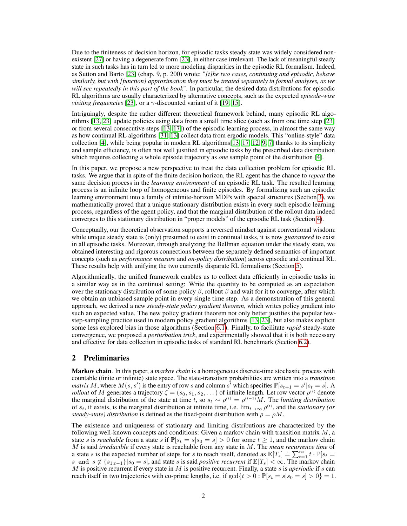Due to the finiteness of decision horizon, for episodic tasks steady state was widely considered nonexistent [\[27\]](#page-10-3) or having a degenerate form [\[23\]](#page-10-1), in either case irrelevant. The lack of meaningful steady state in such tasks has in turn led to more modeling disparities in the episodic RL formalism. Indeed, as Sutton and Barto [\[23\]](#page-10-1) (chap. 9, p. 200) wrote: "*[t]he two cases, continuing and episodic, behave similarly, but with [function] approximation they must be treated separately in formal analyses, as we will see repeatedly in this part of the book*". In particular, the desired data distributions for episodic RL algorithms are usually characterized by alternative concepts, such as the expected *episode-wise visiting frequencies* [\[23\]](#page-10-1), or a  $\gamma$ -discounted variant of it [\[19,](#page-10-5) [15\]](#page-9-5).

Intriguingly, despite the rather different theoretical framework behind, many episodic RL algorithms [\[13,](#page-9-6) [23\]](#page-10-1) update policies using data from a small time slice (such as from one time step [\[23\]](#page-10-1) or from several consecutive steps [\[13,](#page-9-6) [17\]](#page-10-6)) of the episodic learning process, in almost the same way as how continual RL algorithms [\[31,](#page-10-7) [13\]](#page-9-6) collect data from ergodic models. This "online-style" data collection [\[4\]](#page-9-7), while being popular in modern RL algorithms[\[13,](#page-9-6) [17,](#page-10-6) [12,](#page-9-2) [9,](#page-9-8) [7\]](#page-9-9) thanks to its simplicity and sample efficiency, is often not well justified in episodic tasks by the prescribed data distribution which requires collecting a whole episode trajectory as *one* sample point of the distribution [\[4\]](#page-9-7).

In this paper, we propose a new perspective to treat the data collection problem for episodic RL tasks. We argue that in spite of the finite decision horizon, the RL agent has the chance to *repeat* the same decision process in the *learning environment* of an episodic RL task. The resulted learning process is an infinite loop of homogeneous and finite episodes. By formalizing such an episodic learning environment into a family of infinite-horizon MDPs with special structures (Section [3\)](#page-3-0), we mathematically proved that a unique stationary distribution exists in every such episodic learning process, regardless of the agent policy, and that the marginal distribution of the rollout data indeed converges to this stationary distribution in "proper models" of the episodic RL task (Section [4\)](#page-4-0).

Conceptually, our theoretical observation supports a reversed mindset against conventional wisdom: while unique steady state is (only) presumed to exist in continual tasks, it is now *guaranteed* to exist in all episodic tasks. Moreover, through analyzing the Bellman equation under the steady state, we obtained interesting and rigorous connections between the separately defined semantics of important concepts (such as *performance measure* and *on-policy distribution*) across episodic and continual RL. These results help with unifying the two currently disparate RL formalisms (Section [5\)](#page-6-0).

Algorithmically, the unified framework enables us to collect data efficiently in episodic tasks in a similar way as in the continual setting: Write the quantity to be computed as an expectation over the stationary distribution of some policy  $\beta$ , rollout  $\beta$  and wait for it to converge, after which we obtain an unbiased sample point in every single time step. As a demonstration of this general approach, we derived a new *steady-state policy gradient theorem*, which writes policy gradient into such an expected value. The new policy gradient theorem not only better justifies the popular fewstep-sampling practice used in modern policy gradient algorithms [\[13,](#page-9-6) [23\]](#page-10-1), but also makes explicit some less explored bias in those algorithms (Section [6.1\)](#page-7-0). Finally, to facilitate *rapid* steady-state convergence, we proposed a *perturbation trick*, and experimentally showed that it is both necessary and effective for data collection in episodic tasks of standard RL benchmark (Section [6.2\)](#page-8-0).

# <span id="page-1-0"></span>2 Preliminaries

Markov chain. In this paper, a *markov chain* is a homogeneous discrete-time stochastic process with countable (finite or infinite) state space. The state-transition probabilities are written into a *transition matrix* M, where  $M(s, s')$  is the entry of row s and column s<sup>7</sup> which specifies  $\mathbb{P}[s_{t+1} = s' | s_t = s]$ . A *rollout* of M generates a trajectory  $\zeta = (s_0, s_1, s_2, \dots)$  of infinite length. Let row vector  $\rho^{(t)}$  denote the marginal distribution of the state at time t, so  $s_t \sim \rho^{(t)} = \rho^{(t-1)}M$ . The *limiting distribution* of  $s_t$ , if exists, is the marginal distribution at infinite time, i.e.  $\lim_{t\to\infty}\rho^{(t)}$ , and the *stationary (or steady-state) distribution* is defined as the fixed-point distribution with  $\rho = \rho M$ .

The existence and uniqueness of stationary and limiting distributions are characterized by the following well-known concepts and conditions: Given a markov chain with transition matrix  $M$ , a state s is *reachable* from a state  $\bar{s}$  if  $\mathbb{P}[s_t = s | s_0 = \bar{s}] > 0$  for some  $t \geq 1$ , and the markov chain M is said *irreducible* if every state is reachable from any state in M. The *mean recurrence time* of a state s is the expected number of steps for s to reach itself, denoted as  $\mathbb{E}[T_s] = \sum_{t=1}^{\infty} t \cdot \mathbb{P}[s_t =$ s and  $s \notin \{s_{1:t-1}\}|s_0 = s]$ , and state s is said *positive recurrent* if  $\mathbb{E}[T_s] < \infty$ . The markov chain M is positive recurrent if every state in M is positive recurrent. Finally, a state s is *aperiodic* if s can reach itself in two trajectories with co-prime lengths, i.e. if  $gcd\{t > 0 : \mathbb{P}[s_t = s | s_0 = s] > 0\} = 1$ .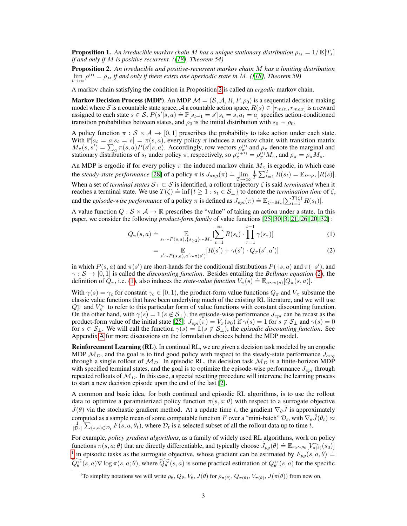<span id="page-2-4"></span>**Proposition 1.** An irreducible markov chain M has a unique stationary distribution  $\rho_M = 1/E[T_s]$ *if and only if* M *is positive recurrent. ([\[18\]](#page-10-8), Theorem 54)*

<span id="page-2-0"></span>Proposition 2. *An irreducible and positive-recurrent markov chain* M *has a limiting distribution*  $\lim_{t\to\infty} \rho^{(t)} = \rho_M$  *if and only if there exists one aperiodic state in* M. ([\[18\]](#page-10-8)*, Theorem 59*)

A markov chain satisfying the condition in Proposition [2](#page-2-0) is called an *ergodic* markov chain.

**Markov Decision Process (MDP).** An MDP  $\mathcal{M} = (\mathcal{S}, \mathcal{A}, R, P, \rho_0)$  is a sequential decision making model where S is a countable state space, A a countable action space,  $R(s) \in [r_{min}, r_{max}]$  is a reward assigned to each state  $s \in S$ ,  $P(s'|s, a) \doteq \mathbb{P}[s_{t+1} = s'|s_t = s, a_t = a]$  specifies action-conditioned transition probabilities between states, and  $\rho_0$  is the initial distribution with  $s_0 \sim \rho_0$ .

A policy function  $\pi : \mathcal{S} \times \mathcal{A} \rightarrow [0, 1]$  prescribes the probability to take action under each state. With  $\mathbb{P}[a_t = a | s_t = s] = \pi(s, a)$ , every policy  $\pi$  induces a markov chain with transition matrix  $M_{\pi}(s, s') = \sum_{a} \pi(s, a) P(s' | s, a)$ . Accordingly, row vectors  $\rho_{\pi}^{(t)}$  and  $\rho_{\pi}$  denote the marginal and stationary distributions of  $s_t$  under policy  $\pi$ , respectively, so  $\rho_{\pi}^{(t+1)} = \rho_{\pi}^{(t)} M_{\pi}$ , and  $\rho_{\pi} = \rho_{\pi} M_{\pi}$ .

An MDP is ergodic if for every policy  $\pi$  the induced markov chain  $M_{\pi}$  is ergodic, in which case the *steady-state performance* [\[28\]](#page-10-0) of a policy  $\pi$  is  $J_{avg}(\pi) \doteq \lim_{T \to \infty}$  $\frac{1}{T} \sum_{t=1}^{T} R(s_t) = \mathbb{E}_{s \sim \rho_{\pi}} [R(s)].$ When a set of *terminal states* S<sup>⊥</sup> ⊂ S is identified, a rollout trajectory ζ is said *terminated* when it when a set of *terminal states*  $S_{\perp} \subset S$  is numbered, a following every  $\zeta$  is said *termination* time of  $\zeta$ , reaches a terminal state. We use  $T(\zeta) = \inf\{t \geq 1 : s_t \in S_{\perp}\}\$  to denote the *termination time* of  $\z$ and the *episode-wise performance* of a policy  $\pi$  is defined as  $J_{epi}(\pi) \doteq \mathbb{E}_{\zeta \sim M_{\pi}}[\sum_{t=1}^{T(\zeta)} R(s_t)].$ 

A value function  $Q : \mathcal{S} \times \mathcal{A} \to \mathbb{R}$  prescribes the "value" of taking an action under a state. In this paper, we consider the following *product-form family* of value functions [\[25,](#page-10-9) [30,](#page-10-10) [3,](#page-9-0) [21,](#page-10-11) [26,](#page-10-12) [20,](#page-10-13) [32\]](#page-10-14) :

$$
Q_{\pi}(s, a) \doteq \mathop{\mathbb{E}}_{s_1 \sim P(s, a), \{s_{\geq 2}\} \sim M_{\pi}} \left[ \sum_{t=1}^{\infty} R(s_t) \cdot \prod_{\tau=1}^{t-1} \gamma(s_{\tau}) \right]
$$
(1)

<span id="page-2-2"></span><span id="page-2-1"></span>
$$
= \mathop{\mathbb{E}}\limits_{s' \sim P(s,a), a' \sim \pi(s')} [R(s') + \gamma(s') \cdot Q_{\pi}(s',a')]
$$
 (2)

in which  $P(s, a)$  and  $\pi(s')$  are short-hands for the conditional distributions  $P(\cdot|s, a)$  and  $\pi(\cdot|s')$ , and  $\gamma : \mathcal{S} \to [0, 1]$  is called the *discounting function*. Besides entailing the *Bellman equation* [\(2\)](#page-2-1), the definition of  $Q_{\pi}$ , i.e. [\(1\)](#page-2-2), also induces the *state-value function*  $V_{\pi}(s) = \mathbb{E}_{a \sim \pi(s)}[Q_{\pi}(s, a)]$ .

With  $\gamma(s) = \gamma_c$  for constant  $\gamma_c \in [0, 1)$ , the product-form value functions  $Q_\pi$  and  $V_\pi$  subsume the classic value functions that have been underlying much of the existing RL literature, and we will use  $Q_{\pi}^{\gamma_c}$  and  $V_{\pi}^{\gamma_c}$  to refer to this particular form of value functions with constant discounting function. On the other hand, with  $\gamma(s) = \mathbb{1}(s \notin S_\perp)$ , the episode-wise performance  $J_{epi}$  can be recast as the product-form value of the initial state [\[25\]](#page-10-9):  $J_{epi}(\pi) = V_{\pi}(s_0)$  if  $\gamma(s) = 1$  for  $s \notin S_{\perp}$  and  $\gamma(s) = 0$ for  $s \in S_\perp$ . We will call the function  $\gamma(s) = 1$  ( $s \notin S_\perp$ ), the *episodic discounting function*. See Appendix A for more discussions on the formulation choices behind the MDP model.

Reinforcement Learning (RL). In continual RL, we are given a decision task modeled by an ergodic MDP  $M_D$ , and the goal is to find good policy with respect to the steady-state performance  $J_{avg}$ through a single rollout of  $M_D$ . In episodic RL, the decision task  $M_D$  is a finite-horizon MDP with specified terminal states, and the goal is to optimize the episode-wise performance  $J_{epi}$  through repeated rollouts of  $\mathcal{M}_D$ . In this case, a special resetting procedure will intervene the learning process to start a new decision episode upon the end of the last [\[2\]](#page-9-3).

A common and basic idea, for both continual and episodic RL algorithms, is to use the rollout data to optimize a parameterized policy function  $\pi(s, a; \theta)$  with respect to a surrogate objective  $\tilde{J}(\theta)$  via the stochastic gradient method. At a update time t, the gradient  $\nabla_{\theta}\tilde{J}$  is approximately computed as a sample mean of some computable function F over a "mini-batch"  $\mathcal{D}_t$ , with  $\nabla_\theta \tilde{J}(\theta_t) \approx$  $\frac{1}{|\mathcal{D}_t|}\sum_{(s,a)\in\mathcal{D}_t} F(s,a,\theta_t)$ , where  $\mathcal{D}_t$  is a selected subset of all the rollout data up to time t.

For example, *policy gradient algorithms*, as a family of widely used RL algorithms, work on policy functions  $\pi(s, a; \theta)$  that are directly differentiable, and typically choose  $\tilde{J}_{pg}(\theta) \doteq \mathbb{E}_{s_0 \sim \rho_0}[V^{\infty}_{\pi(\theta)}(s_0)]$ <sup>[1](#page-2-3)</sup> in episodic tasks as the surrogate objective, whose gradient can be estimated by  $F_{pg}(s, a, \theta) \doteq$  $Q_{\theta}^{\gamma_c}(s, a) \nabla \log \pi(s, a; \theta)$ , where  $Q_{\theta}^{\gamma_c}(s, a)$  is some practical estimation of  $Q_{\theta}^{\gamma_c}(s, a)$  for the specific

<span id="page-2-3"></span><sup>&</sup>lt;sup>1</sup>To simplify notations we will write  $\rho_{\theta}$ ,  $Q_{\theta}$ ,  $V_{\theta}$ ,  $J(\theta)$  for  $\rho_{\pi(\theta)}$ ,  $Q_{\pi(\theta)}$ ,  $V_{\pi(\theta)}$ ,  $J(\pi(\theta))$  from now on.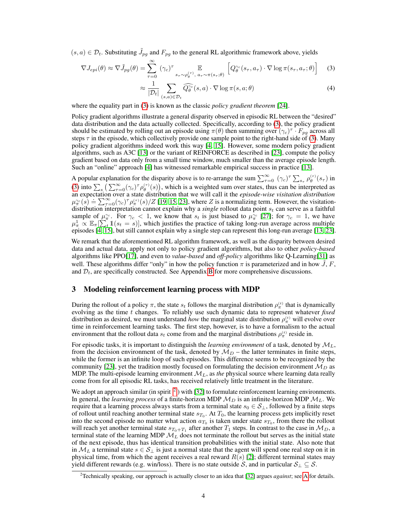$(s, a) \in \mathcal{D}_t$ . Substituting  $\tilde{J}_{pg}$  and  $F_{pg}$  to the general RL algorithmic framework above, yields

$$
\nabla J_{epi}(\theta) \approx \nabla \tilde{J}_{pg}(\theta) = \sum_{\tau=0}^{\infty} (\gamma_c)^{\tau} \mathbb{E}_{s_{\tau} \sim \rho_{\theta}^{(\tau)}, a_{\tau} \sim \pi(s_{\tau}; \theta)} \left[ Q_{\theta}^{\gamma_c}(s_{\tau}, a_{\tau}) \cdot \nabla \log \pi(s_{\tau}, a_{\tau}; \theta) \right]
$$
(3)

<span id="page-3-1"></span>
$$
\approx \frac{1}{|\mathcal{D}_t|} \sum_{(s,a)\in\mathcal{D}_t} \widehat{Q_\theta^{\gamma_c}}(s,a) \cdot \nabla \log \pi(s,a;\theta) \tag{4}
$$

where the equality part in [\(3\)](#page-3-1) is known as the classic *policy gradient theorem* [\[24\]](#page-10-15).

Policy gradient algorithms illustrate a general disparity observed in episodic RL between the "desired" data distribution and the data actually collected. Specifically, according to [\(3\)](#page-3-1), the policy gradient should be estimated by rolling out an episode using  $\pi(\theta)$  then summing over  $(\gamma_c)^{\tau} \cdot F_{pg}$  across all steps  $\tau$  in the episode, which collectively provide one sample point to the right-hand side of [\(3\)](#page-3-1). Many policy gradient algorithms indeed work this way [\[4,](#page-9-7) [15\]](#page-9-5). However, some modern policy gradient algorithms, such as A3C [\[13\]](#page-9-6) or the variant of REINFORCE as described in [\[23\]](#page-10-1), compute the policy gradient based on data only from a small time window, much smaller than the average episode length. Such an "online" approach [\[4\]](#page-9-7) has witnessed remarkable empirical success in practice [\[13\]](#page-9-6).

A popular explanation for the disparity above is to re-arrange the sum  $\sum_{\tau=0}^{\infty} (\gamma_c)^{\tau} \sum_{s_{\tau}} \rho_{\theta}^{(\tau)}(s_{\tau})$  in [\(3\)](#page-3-1) into  $\sum_s \left( \sum_{\tau=0}^{\infty} (\gamma_c)^{\tau} \rho_{\theta}^{(\tau)}(s) \right)$ , which is a weighted sum over states, thus can be interpreted as an expectation over a state distribution that we will call it the *episode-wise visitation distribution* an expectation over a state distribution that we will can it the episode-wise visitation distribution-<br> $\mu_{\pi}^{\infty}(s) = \sum_{\tau=0}^{\infty} (\gamma_c)^{\tau} \rho_{\pi}^{(\tau)}(s)/Z$  [\[19,](#page-10-5) [15,](#page-9-5) [23\]](#page-10-1), where Z is a normalizing term. However, the visitatio distribution interpretation cannot explain why a *single* rollout data point  $s_t$  can serve as a faithful sample of  $\mu_{\pi}^{\gamma_c}$ . For  $\gamma_c < 1$ , we know that  $s_t$  is just biased to  $\mu_{\pi}^{\gamma_c}$  [\[27\]](#page-10-3); for  $\gamma_c = 1$ , we have  $\mu_{\pi}^1 \propto \mathbb{E}_{\pi} \left[\sum_t^n \mathbb{1}(s_t = s)\right]$ , which justifies the practice of taking long-run average across multiple episodes [\[4,](#page-9-7) [15\]](#page-9-5), but still cannot explain why a single step can represent this long-run average [\[13,](#page-9-6) [23\]](#page-10-1).

We remark that the aforementioned RL algorithm framework, as well as the disparity between desired data and actual data, apply not only to policy gradient algorithms, but also to other *policy-based* algorithms like PPO[\[17\]](#page-10-6), and even to *value-based* and *off-policy* algorithms like Q-Learning[\[31\]](#page-10-7) as well. These algorithms differ "only" in how the policy function  $\pi$  is parameterized and in how J, F, and  $\mathcal{D}_t$ , are specifically constructed. See Appendix B for more comprehensive discussions.

## <span id="page-3-0"></span>3 Modeling reinforcement learning process with MDP

During the rollout of a policy  $\pi$ , the state  $s_t$  follows the marginal distribution  $\rho_{\pi}^{(t)}$  that is dynamically evolving as the time t changes. To reliably use such dynamic data to represent whatever *fixed* distribution as desired, we must understand *how* the marginal state distribution  $\rho_{\pi}^{(t)}$  will evolve over time in reinforcement learning tasks. The first step, however, is to have a formalism to the actual environment that the rollout data  $s_t$  come from and the marginal distributions  $\rho_{\pi}^{(t)}$  reside in.

For episodic tasks, it is important to distinguish the *learning environment* of a task, denoted by  $\mathcal{M}_L$ , from the decision environment of the task, denoted by  $\mathcal{M}_D$  – the latter terminates in finite steps, while the former is an infinite loop of such episodes. This difference seems to be recognized by the community [\[23\]](#page-10-1), yet the tradition mostly focused on formulating the decision environment  $M_D$  as MDP. The multi-episode learning environment  $\mathcal{M}_L$ , as *the* physical source where learning data really come from for all episodic RL tasks, has received relatively little treatment in the literature.

We adopt an approach similar (in spirit  $^2$  $^2$ ) with [\[32\]](#page-10-14) to formulate reinforcement learning environments. In general, the *learning process* of a finite-horizon MDP  $M_D$  is an infinite-horizon MDP  $M_L$ . We require that a learning process always starts from a terminal state  $s_0 \in S_\perp$ , followed by a finite steps of rollout until reaching another terminal state  $s_{T_0}$ . At  $T_0$ , the learning process gets implicitly reset into the second episode no matter what action  $a_{T_0}$  is taken under state  $s_{T_0}$ , from there the rollout will reach yet another terminal state  $s_{T_0+T_1}$  after another  $T_1$  steps. In contrast to the case in  $\mathcal{M}_D$ , a terminal state of the learning MDP  $\mathcal{M}_L$  does not terminate the rollout but serves as the initial state of the next episode, thus has identical transition probabilities with the initial state. Also note that in  $\mathcal{M}_L$  a terminal state  $s \in \mathcal{S}_\perp$  is just a normal state that the agent will spend one real step on it in physical time, from which the agent receives a real reward  $R(s)$  [\[2\]](#page-9-3); different terminal states may yield different rewards (e.g. win/loss). There is no state outside S, and in particular  $S_1 \subseteq S$ .

<span id="page-3-2"></span><sup>2</sup>Technically speaking, our approach is actually closer to an idea that [\[32\]](#page-10-14) argues *against*; see A for details.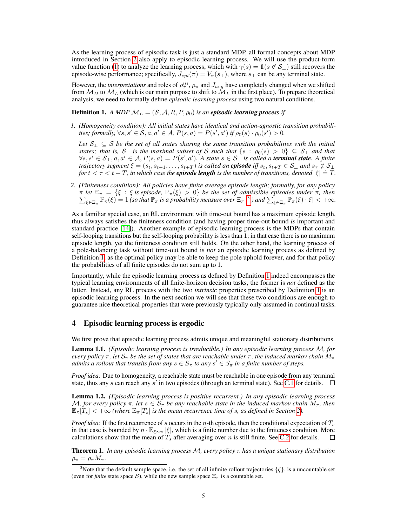As the learning process of episodic task is just a standard MDP, all formal concepts about MDP introduced in Section [2](#page-1-0) also apply to episodic learning process. We will use the product-form value function [\(1\)](#page-2-2) to analyze the learning process, which with  $\gamma(s) = 1(s \notin S_\perp)$  still recovers the episode-wise performance; specifically,  $J_{epi}(\pi) = V_{\pi}(s_{\perp})$ , where  $s_{\perp}$  can be any terminal state.

However, the *interpretations* and roles of  $\rho_{\pi}^{(t)}$ ,  $\rho_{\pi}$  and  $J_{avg}$  have completely changed when we shifted from  $\mathcal{M}_D$  to  $\mathcal{M}_L$  (which is our main purpose to shift to  $\mathcal{M}_L$  in the first place). To prepare theoretical analysis, we need to formally define *episodic learning process* using two natural conditions.

#### <span id="page-4-2"></span>**Definition 1.** *A MDP*  $M_L = (S, A, R, P, \rho_0)$  *is an episodic learning process if*

*1. (Homogeneity condition): All initial states have identical and action-agnostic transition probabilities; formally,*  $\forall s, s' \in S, a, a' \in A$ ,  $P(s, a) = P(s', a')$  *if*  $\rho_0(s) \cdot \rho_0(s') > 0$ .

*Let* S<sup>⊥</sup> ⊆ S *be the set of all states sharing the same transition probabilities with the initial states; that is,*  $S_\perp$  *is the maximal subset of* S *such that*  $\{s : \rho_0(s) > 0\} \subseteq S_\perp$  *and that*  $\forall s, s' \in S_\perp, a, a' \in A, P(s, a) = P(s', a')$ . A state  $s \in S_\perp$  is called a **terminal state**. A finite *trajectory segment*  $\xi = (s_t, s_{t+1}, \ldots, s_{t+T})$  *is called an episode iff*  $s_t, s_{t+T} \in S_\perp$  *and*  $s_\tau \notin S_\perp$ *for*  $t < \tau < t + T$ , in which case the **episode length** is the number of transitions, denoted  $|\xi| = T$ .

*2. (Finiteness condition): All policies have finite average episode length; formally, for any policy* π $\sum$ *let*  $\Xi_{\pi} = \{\xi : \xi \text{ is episode, } \mathbb{P}_{\pi}(\xi) > 0\}$  *be the set of admissible episodes under*  $\pi$ , then  $\lim_{\xi \in \Xi_{\pi}} \mathbb{P}_{\pi}(\xi) = 1$  *(so that*  $\mathbb{P}_{\pi}$  *is a probability measure over*  $\Xi_{\pi}$ <sup>[3](#page-4-1)</sup> *) and*  $\sum_{\xi \in \Xi_{\pi}} \mathbb{P}_{\pi}(\xi) \cdot |\xi| < +\infty$ .

As a familiar special case, an RL environment with time-out bound has a maximum episode length, thus always satisfies the finiteness condition (and having proper time-out bound *is* important and standard practice [\[14\]](#page-9-4)). Another example of episodic learning process is the MDPs that contain self-looping transitions but the self-looping probability is less than 1; in that case there is no maximum episode length, yet the finiteness condition still holds. On the other hand, the learning process of a pole-balancing task without time-out bound is *not* an episodic learning process as defined by Definition [1,](#page-4-2) as the optimal policy may be able to keep the pole uphold forever, and for that policy the probabilities of all finite episodes do not sum up to 1.

Importantly, while the episodic learning process as defined by Definition [1](#page-4-2) indeed encompasses the typical learning environments of all finite-horizon decision tasks, the former is *not* defined as the latter. Instead, any RL process with the two *intrinsic* properties prescribed by Definition [1](#page-4-2) is an episodic learning process. In the next section we will see that these two conditions are enough to guarantee nice theoretical properties that were previously typically only assumed in continual tasks.

#### <span id="page-4-0"></span>4 Episodic learning process is ergodic

We first prove that episodic learning process admits unique and meaningful stationary distributions.

<span id="page-4-3"></span>Lemma 1.1. *(Episodic learning process is irreducible.) In any episodic learning process* M*, for every policy*  $\pi$ , let  $S_{\pi}$  *be the set of states that are reachable under*  $\pi$ , *the induced markov chain*  $M_{\pi}$ *admits a rollout that transits from any*  $s \in S_\pi$  *to any*  $s' \in S_\pi$  *in a finite number of steps.* 

*Proof idea:* Due to homogeneity, a reachable state must be reachable in one episode from any terminal state, thus any s can reach any s' in two episodes (through an terminal state). See C.1 for details.

<span id="page-4-4"></span>Lemma 1.2. *(Episodic learning process is positive recurrent.) In any episodic learning process*  $\mathcal{M}$ *, for every policy*  $\pi$ *, let*  $s \in \mathcal{S}_{\pi}$  *be any reachable state in the induced markov chain*  $M_{\pi}$ *, then*  $\mathbb{E}_{\pi}[T_s] < +\infty$  *(where*  $\mathbb{E}_{\pi}[T_s]$  *is the mean recurrence time of s, as defined in Section [2\)](#page-1-0).* 

*Proof idea:* If the first recurrence of s occurs in the n-th episode, then the conditional expectation of  $T_s$ in that case is bounded by  $n \cdot \mathbb{E}_{\xi \sim \pi} |\xi|$ , which is a finite number due to the finiteness condition. More calculations show that the mean of  $T_s$  after averaging over n is still finite. See C.2 for details.

<span id="page-4-5"></span>Theorem 1. *In any episodic learning process* M*, every policy* π *has a unique stationary distribution*  $\rho_{\pi} = \rho_{\pi} M_{\pi}.$ 

<span id="page-4-1"></span><sup>&</sup>lt;sup>3</sup>Note that the default sample space, i.e. the set of all infinite rollout trajectories  $\{\zeta\}$ , is a uncountable set (even for *finite* state space S), while the new sample space  $\Xi_{\pi}$  is a countable set.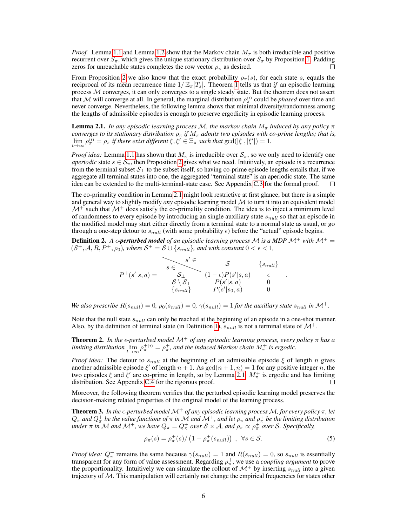*Proof.* Lemma [1.1](#page-4-3) and Lemma [1.2](#page-4-4) show that the Markov chain  $M_{\pi}$  is both irreducible and positive recurrent over  $S_{\pi}$ , which gives the unique stationary distribution over  $S_{\pi}$  by Proposition [1.](#page-2-4) Padding zeros for unreachable states completes the row vector  $\rho_{\pi}$  as desired.

From Proposition [2](#page-2-0) we also know that the exact probability  $\rho_{\pi}(s)$ , for each state s, equals the reciprocal of its mean recurrence time  $1/\mathbb{E}_{\pi}[T_s]$ . Theorem [1](#page-4-5) tells us that *if* an episodic learning process M converges, it can only converges to a single steady state. But the theorem does not assert that M will converge at all. In general, the marginal distribution  $\rho_{\pi}^{(t)}$  could be *phased* over time and never converge. Nevertheless, the following lemma shows that minimal diversity/randomness among the lengths of admissible episodes is enough to preserve ergodicity in episodic learning process.

<span id="page-5-0"></span>**Lemma 2.1.** In any episodic learning process M, the markov chain  $M_{\pi}$  induced by any policy  $\pi$ *converges to its stationary distribution*  $\rho_{\pi}$  *if*  $M_{\pi}$  *admits two episodes with co-prime lengths; that is,*  $\lim_{t\to\infty}\rho_{\pi}^{(t)} = \rho_{\pi}$  *if there exist different*  $\xi, \xi' \in \Xi_{\pi}$  *such that*  $\gcd(|\xi|, |\xi'|) = 1$ *.* 

*Proof idea:* Lemma [1.1](#page-4-3) has shown that  $M_\pi$  is irreducible over  $S_\pi$ , so we only need to identify one *aperiodic* state  $s \in S_\pi$ , then Proposition [2](#page-2-0) gives what we need. Intuitively, an episode is a recurrence from the terminal subset  $S_{\perp}$  to the subset itself, so having co-prime episode lengths entails that, if we aggregate all terminal states into one, the aggregated "terminal state" is an aperiodic state. The same idea can be extended to the multi-terminal-state case. See Appendix C.3 for the formal proof.  $\Box$ 

The co-primality condition in Lemma [2.1](#page-5-0) might look restrictive at first glance, but there is a simple and general way to slightly modify *any* episodic learning model M to turn it into an equivalent model  $\mathcal{M}^+$  such that  $\mathcal{M}^+$  does satisfy the co-primality condition. The idea is to inject a minimum level of randomness to every episode by introducing an single auxiliary state  $s<sub>null</sub>$  so that an episode in the modified model may start either directly from a terminal state to a normal state as usual, or go through a one-step detour to  $s<sub>null</sub>$  (with some probability  $\epsilon$ ) before the "actual" episode begins.

**Definition 2.** A  $\epsilon$ -**perturbed model** of an episodic learning process M is a MDP M<sup>+</sup> with M<sup>+</sup> =  $(S^+, \mathcal{A}, R, P^+, \rho_0)$ , where  $S^+ = S \cup \{s_{null}\}$ , and with constant  $0 < \epsilon < 1$ ,

$$
P^+(s'|s,a) = \begin{array}{c|c} & s' \in & \mathcal{S} & \{s_{null}\} \\ \hline & s \in & \mathcal{S}_\perp \\ & \mathcal{S} \setminus \mathcal{S}_\perp & \{1-\epsilon\}P(s'|s,a) & \epsilon \\ & \{s_{null}\} & P(s'|s_0,a) & 0 \\ \end{array}
$$

*We also prescribe*  $R(s_{null}) = 0$ ,  $\rho_0(s_{null}) = 0$ ,  $\gamma(s_{null}) = 1$  *for the auxiliary state*  $s_{null}$  *in*  $\mathcal{M}^+$ .

Note that the null state  $s<sub>null</sub>$  can only be reached at the beginning of an episode in a one-shot manner. Also, by the definition of terminal state (in Definition [1\)](#page-4-2),  $s_{null}$  is not a terminal state of  $\mathcal{M}^+$ .

**Theorem 2.** In the  $\epsilon$ -perturbed model  $\mathcal{M}^+$  of any episodic learning process, every policy  $\pi$  has a *limiting distribution*  $\lim_{t\to\infty} \rho_{\pi}^{+(t)} = \rho_{\pi}^{+}$ , and the induced Markov chain  $M_{\pi}^{+}$  is ergodic.

*Proof idea:* The detour to  $s_{null}$  at the beginning of an admissible episode  $\xi$  of length n gives another admissible episode  $\xi'$  of length  $n + 1$ . As  $gcd(n + 1, n) = 1$  for any positive integer n, the two episodes  $\xi$  and  $\xi'$  are co-prime in length, so by Lemma [2.1,](#page-5-0)  $M_{\pi}^+$  is ergodic and has limiting distribution. See Appendix C.4 for the rigorous proof.  $\Box$ 

Moreover, the following theorem verifies that the perturbed episodic learning model preserves the decision-making related properties of the original model of the learning process.

<span id="page-5-1"></span>Theorem 3. *In the -perturbed model* M<sup>+</sup> *of any episodic learning process* M*, for every policy* π*, let*  $Q_\pi$  and  $Q^+_\pi$  be the value functions of  $\pi$  in  $\cal M$  and  $\cal M^+$ , and let  $\rho_\pi$  and  $\rho^+_\pi$  be the limiting distribution *under*  $\pi$  *in*  $M$  *and*  $M^+$ *, we have*  $Q_{\pi} = Q_{\pi}^+$  *over*  $S \times A$ *, and*  $\rho_{\pi} \propto \rho_{\pi}^+$  *over*  $S$ *. Specifically,* 

$$
\rho_{\pi}(s) = \rho_{\pi}^{+}(s) / \left(1 - \rho_{\pi}^{+}(s_{null})\right) , \ \ \forall s \in \mathcal{S}.
$$

.

*Proof idea:*  $Q_{\pi}^+$  remains the same because  $\gamma(s_{null}) = 1$  and  $R(s_{null}) = 0$ , so  $s_{null}$  is essentially transparent for any form of value assessment. Regarding  $\rho_{\pi}^{+}$ , we use a *coupling argument* to prove the proportionality. Intuitively we can simulate the rollout of  $\mathcal{M}^+$  by inserting  $s_{null}$  into a given trajectory of  $M$ . This manipulation will certainly not change the empirical frequencies for states other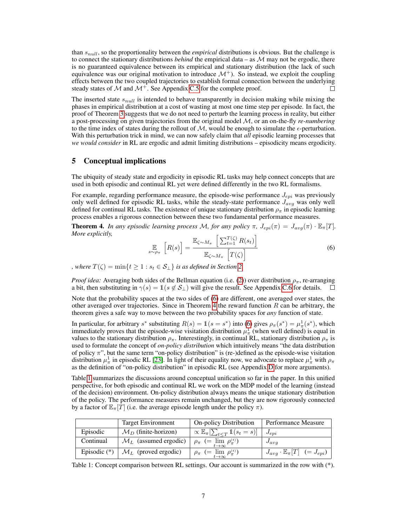than  $s<sub>null</sub>$ , so the proportionality between the *empirical* distributions is obvious. But the challenge is to connect the stationary distributions *behind* the empirical data – as  $M$  may not be ergodic, there is no guaranteed equivalence between its empirical and stationary distribution (the lack of such equivalence was our original motivation to introduce  $\mathcal{M}^+$ ). So instead, we exploit the coupling effects between the two coupled trajectories to establish formal connection between the underlying steady states of  $\mathcal M$  and  $\mathcal M^+$ . See Appendix C.5 for the complete proof. П

The inserted state  $s_{null}$  is intended to behave transparently in decision making while mixing the phases in empirical distribution at a cost of wasting at most one time step per episode. In fact, the proof of Theorem [3](#page-5-1) suggests that we do not need to perturb the learning process in reality, but either a post-processing on given trajectories from the original model M, or an on-the-fly *re-numbering* to the time index of states during the rollout of  $M$ , would be enough to simulate the  $\epsilon$ -perturbation. With this perturbation trick in mind, we can now safely claim that *all* episodic learning processes that *we would consider* in RL are ergodic and admit limiting distributions – episodicity means ergodicity.

#### <span id="page-6-0"></span>5 Conceptual implications

The ubiquity of steady state and ergodicity in episodic RL tasks may help connect concepts that are used in both episodic and continual RL yet were defined differently in the two RL formalisms.

For example, regarding performance measure, the episode-wise performance  $J_{epi}$  was previously only well defined for episodic RL tasks, while the steady-state performance  $J_{avg}$  was only well defined for continual RL tasks. The existence of unique stationary distribution  $\rho_{\pi}$  in episodic learning process enables a rigorous connection between these two fundamental performance measures.

<span id="page-6-2"></span>**Theorem 4.** *In any episodic learning process M, for any policy*  $\pi$ *,*  $J_{epi}(\pi) = J_{avg}(\pi) \cdot \mathbb{E}_{\pi}[T]$ *. More explicitly,*

<span id="page-6-1"></span>
$$
\mathop{\mathbb{E}}_{s \sim \rho_{\pi}} \left[ R(s) \right] = \frac{\mathop{\mathbb{E}}_{\zeta \sim M_{\pi}} \left[ \sum_{t=1}^{T(\zeta)} R(s_t) \right]}{\mathop{\mathbb{E}}_{\zeta \sim M_{\pi}} \left[ T(\zeta) \right]} \tag{6}
$$

*, where*  $T(\zeta) = \min\{t \geq 1 : s_t \in S_\perp\}$  *is as defined in Section [2.](#page-1-0)* 

*Proof idea:* Averaging both sides of the Bellman equation (i.e. [\(2\)](#page-2-1)) over distribution  $\rho_{\pi}$ , re-arranging a bit, then substituting in  $\gamma(s) = \mathbb{1}(s \notin \mathcal{S}_\perp)$  will give the result. See Appendix C.6 for details.

Note that the probability spaces at the two sides of [\(6\)](#page-6-1) are different, one averaged over states, the other averaged over trajectories. Since in Theorem [4](#page-6-2) the reward function  $R$  can be arbitrary, the theorem gives a safe way to move between the two probability spaces for *any* function of state.

In particular, for arbitrary  $s^*$  substituting  $R(s) = \mathbb{1}(s = s^*)$  into [\(6\)](#page-6-1) gives  $\rho_\pi(s^*) = \mu_\pi^1(s^*)$ , which immediately proves that the episode-wise visitation distribution  $\mu^1_\pi$  (when well defined) is equal in values to the stationary distribution  $\rho_{\pi}$ . Interestingly, in continual RL, stationary distribution  $\rho_{\pi}$  is used to formulate the concept of *on-policy distribution* which intuitively means "the data distribution of policy  $\pi$ ", but the same term "on-policy distribution" is (re-)defined as the episode-wise visitation distribution  $\mu^1_\pi$  in episodic RL [\[23\]](#page-10-1). In light of their equality now, we advocate to replace  $\mu^1_\pi$  with  $\rho_\pi$ as the definition of "on-policy distribution" in episodic RL (see Appendix D for more arguments).

Table [1](#page-6-3) summarizes the discussions around conceptual unification so far in the paper. In this unified perspective, for both episodic and continual RL we work on the MDP model of the learning (instead of the decision) environment. On-policy distribution always means the unique stationary distribution of the policy. The performance measures remain unchanged, but they are now rigorously connected by a factor of  $\mathbb{E}_{\pi}[T]$  (i.e. the average episode length under the policy  $\pi$ ).

<span id="page-6-3"></span>

|           | <b>Target Environment</b>                     | <b>On-policy Distribution</b>                                   | Performance Measure                                |
|-----------|-----------------------------------------------|-----------------------------------------------------------------|----------------------------------------------------|
| Episodic  | $\mathcal{M}_D$ (finite-horizon)              | $\propto \mathbb{E}_{\pi}[\sum_{t \leq T} \mathbb{1}(s_t = s)]$ | $J_{epi}$                                          |
| Continual | $\mathcal{M}_L$ (assumed ergodic)             | $\rho_{\pi}$ (= $\lim_{t\to\infty}\rho_{\pi}^{(t)}$ )           | $J_{avg}$                                          |
|           | Episodic (*) $\mathcal{M}_L$ (proved ergodic) | $\rho_{\pi}$ (= $\lim_{t\to\infty} \rho_{\pi}^{(t)}$ )          | $J_{avg} \cdot \mathbb{E}_{\pi}[T]$ (= $J_{epi}$ ) |

Table 1: Concept comparison between RL settings. Our account is summarized in the row with (\*).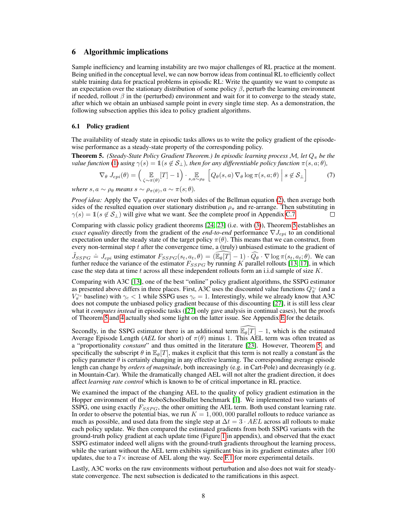## <span id="page-7-2"></span>6 Algorithmic implications

Sample inefficiency and learning instability are two major challenges of RL practice at the moment. Being unified in the conceptual level, we can now borrow ideas from continual RL to efficiently collect stable training data for practical problems in episodic RL: Write the quantity we want to compute as an expectation over the stationary distribution of some policy  $\beta$ , perturb the learning environment if needed, rollout  $\beta$  in the (perturbed) environment and wait for it to converge to the steady state, after which we obtain an unbiased sample point in every single time step. As a demonstration, the following subsection applies this idea to policy gradient algorithms.

#### <span id="page-7-0"></span>6.1 Policy gradient

The availability of steady state in episodic tasks allows us to write the policy gradient of the episodewise performance as a steady-state property of the corresponding policy.

<span id="page-7-1"></span>**Theorem 5.** *(Steady-State Policy Gradient Theorem.) In episodic learning process* M, let  $Q_{\pi}$  be the *value function* [\(1\)](#page-2-2) *using*  $\gamma(s) = \mathbb{1}(s \notin S_\perp)$ *, then for any differentiable policy function*  $\pi(s, a; \theta)$ *,* 

$$
\nabla_{\theta} J_{epi}(\theta) = \begin{pmatrix} \mathbb{E} \\ \zeta \sim \pi(\theta) \end{pmatrix} \cdot \mathbb{E} \begin{pmatrix} Q_{\theta}(s, a) \nabla_{\theta} \log \pi(s, a; \theta) \end{pmatrix} s \notin \mathcal{S}_{\perp} \end{pmatrix}
$$
(7)

*where*  $s, a \sim \rho_{\theta}$  *means*  $s \sim \rho_{\pi(\theta)}, a \sim \pi(s; \theta)$ *.* 

*Proof idea:* Apply the  $\nabla_{\theta}$  operator over both sides of the Bellman equation [\(2\)](#page-2-1), then average both sides of the resulted equation over stationary distribution  $\rho_{\pi}$  and re-arrange. Then substituting in  $\gamma(s) = \mathbb{1}(s \notin S_\perp)$  will give what we want. See the complete proof in Appendix C.7. П

Comparing with classic policy gradient theorems [\[24,](#page-10-15) [23\]](#page-10-1) (i.e. with [\(3\)](#page-3-1)), Theorem [5](#page-7-1) establishes an *exact equality* directly from the gradient of the *end-to-end* performance  $\nabla J_{epi}$  to an conditional expectation under the steady state of the target policy  $\pi(\theta)$ . This means that we can construct, from every non-terminal step  $t$  after the convergence time, a (truly) unbiased estimate to the gradient of

 $\tilde{J}_{SSPG} = J_{epi}$  using estimator  $F_{SSPG}(s_t, a_t, \theta) = (\widehat{\mathbb{E}_{\theta}[T]} - 1) \cdot \widehat{Q_{\theta}} \cdot \nabla \log \pi(s_t, a_t, \theta)$ . We can further reduce the variance of the estimator  $F_{SSPG}$  by running K parallel rollouts [\[13,](#page-9-6) [17\]](#page-10-6), in which case the step data at time  $t$  across all these independent rollouts form an i.i.d sample of size  $K$ .

Comparing with A3C [\[13\]](#page-9-6), one of the best "online" policy gradient algorithms, the SSPG estimator as presented above differs in three places. First, A3C uses the discounted value functions  $Q_{\pi}^{\gamma_c}$  (and a  $V_{\pi}^{\gamma_c}$  baseline) with  $\gamma_c < 1$  while SSPG uses  $\gamma_c = 1$ . Interestingly, while we already know that A3C does not compute the unbiased policy gradient because of this discounting [\[27\]](#page-10-3), it is still less clear what it *computes instead* in episodic tasks ([\[27\]](#page-10-3) only gave analysis in continual cases), but the proofs of Theorem [5](#page-7-1) and [4](#page-6-2) actually shed some light on the latter issue. See Appendix E for the details.

Secondly, in the SSPG estimator there is an additional term  $\widehat{\mathbb{E}_{\theta}[T]} - 1$ , which is the estimated Average Episode Length (*AEL* for short) of  $\pi(\theta)$  minus 1. This AEL term was often treated as a "proportionality *constant*" and thus omitted in the literature [\[23\]](#page-10-1). However, Theorem [5,](#page-7-1) and specifically the subscript  $\theta$  in  $\mathbb{E}_{\theta}[T]$ , makes it explicit that this term is not really a constant as the policy parameter  $\theta$  is certainly changing in any effective learning. The corresponding average episode length can change by *orders of magnitude*, both increasingly (e.g. in Cart-Pole) and decreasingly (e.g. in Mountain-Car). While the dramatically changed AEL will not alter the gradient direction, it does affect *learning rate control* which is known to be of critical importance in RL practice.

We examined the impact of the changing AEL to the quality of policy gradient estimation in the Hopper environment of the RoboSchoolBullet benchmark [\[1\]](#page-9-10). We implemented two variants of SSPG, one using exactly  $F_{SSPG}$ , the other omitting the AEL term. Both used constant learning rate. In order to observe the potential bias, we run  $K = 1,000,000$  parallel rollouts to reduce variance as much as possible, and used data from the single step at  $\Delta t = 3 \cdot AEL$  across all rollouts to make each policy update. We then compared the estimated gradients from both SSPG variants with the ground-truth policy gradient at each update time (Figure 1 in appendix), and observed that the exact SSPG estimator indeed well aligns with the ground-truth gradients throughout the learning process, while the variant without the AEL term exhibits significant bias in its gradient estimates after 100 updates, due to a  $7\times$  increase of AEL along the way. See F.1 for more experimental details.

Lastly, A3C works on the raw environments without perturbation and also does not wait for steadystate convergence. The next subsection is dedicated to the ramifications in this aspect.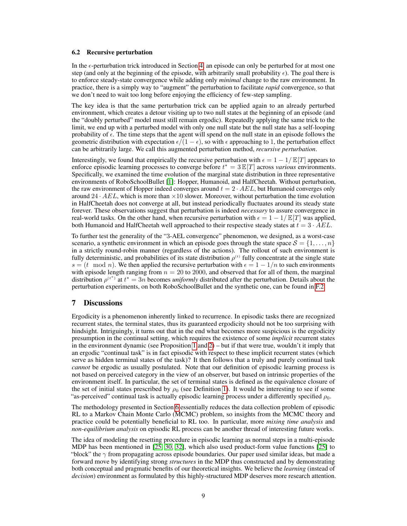#### <span id="page-8-0"></span>6.2 Recursive perturbation

In the  $\epsilon$ -perturbation trick introduced in Section [4,](#page-4-0) an episode can only be perturbed for at most one step (and only at the beginning of the episode, with arbitrarily small probability  $\epsilon$ ). The goal there is to enforce steady-state convergence while adding only *minimal* change to the raw environment. In practice, there is a simply way to "augment" the perturbation to facilitate *rapid* convergence, so that we don't need to wait too long before enjoying the efficiency of few-step sampling.

The key idea is that the same perturbation trick can be applied again to an already perturbed environment, which creates a detour visiting up to two null states at the beginning of an episode (and the "doubly perturbed" model must still remain ergodic). Repeatedly applying the same trick to the limit, we end up with a perturbed model with only one null state but the null state has a self-looping probability of  $\epsilon$ . The time steps that the agent will spend on the null state in an episode follows the geometric distribution with expectation  $\epsilon/(1 - \epsilon)$ , so with  $\epsilon$  approaching to 1, the perturbation effect can be arbitrarily large. We call this augmented perturbation method, *recursive perturbation*.

Interestingly, we found that empirically the recursive perturbation with  $\epsilon = 1 - 1/E[T]$  appears to enforce episodic learning processes to converge before  $t^* = 3 \mathbb{E}[T]$  across *various* environments. Specifically, we examined the time evolution of the marginal state distribution in three representative environments of RoboSchoolBullet [\[1\]](#page-9-10): Hopper, Humanoid, and HalfCheetah. Without perturbation, the raw environment of Hopper indeed converges around  $t = 2 \cdot AEL$ , but Humanoid converges only around  $24 \cdot AEL$ , which is more than  $\times 10$  slower. Moreover, without perturbation the time evolution in HalfCheetah does not converge at all, but instead periodically fluctuates around its steady state forever. These observations suggest that perturbation is indeed *necessary* to assure convergence in real-world tasks. On the other hand, when recursive perturbation with  $\epsilon = 1 - 1/E[T]$  was applied, both Humanoid and HalfCheetah well approached to their respective steady states at  $t = 3 \cdot AEL$ .

To further test the generality of the "3-AEL convergence" phenomenon, we designed, as a worst-case scenario, a synthetic environment in which an episode goes through the state space  $S = \{1, \ldots, n\}$ in a strictly round-robin manner (regardless of the actions). The rollout of such environment is fully deterministic, and probabilities of its state distribution  $\rho^{(t)}$  fully concentrate at the single state  $s = (t \mod n)$ . We then applied the recursive perturbation with  $\epsilon = 1 - 1/n$  to such environments with episode length ranging from  $n = 20$  to 2000, and observed that for all of them, the marginal distribution  $\rho^{(t^*)}$  at  $t^* = 3n$  becomes *uniformly* distributed after the perturbation. Details about the perturbation experiments, on both RoboSchoolBullet and the synthetic one, can be found in F.2.

# 7 Discussions

Ergodicity is a phenomenon inherently linked to recurrence. In episodic tasks there are recognized recurrent states, the terminal states, thus its guaranteed ergodicity should not be too surprising with hindsight. Intriguingly, it turns out that in the end what becomes more suspicious is the ergodicity presumption in the continual setting, which requires the existence of some *implicit* recurrent states in the environment dynamic (see Proposition [1](#page-2-4) and  $2$ ) – but if that were true, wouldn't it imply that an ergodic "continual task" is in fact episodic with respect to these implicit recurrent states (which serve as hidden terminal states of the task)? It then follows that a truly and purely continual task *cannot* be ergodic as usually postulated. Note that our definition of episodic learning process is not based on perceived category in the view of an observer, but based on intrinsic properties of the environment itself. In particular, the set of terminal states is defined as the equivalence closure of the set of initial states prescribed by  $\rho_0$  (see Definition [1\)](#page-4-2). It would be interesting to see if some "as-perceived" continual task is actually episodic learning process under a differently specified  $\rho_0$ .

The methodology presented in Section [6](#page-7-2) essentially reduces the data collection problem of episodic RL to a Markov Chain Monte Carlo (MCMC) problem, so insights from the MCMC theory and practice could be potentially beneficial to RL too. In particular, more *mixing time analysis* and *non-equilibrium analysis* on episodic RL process can be another thread of interesting future works.

The idea of modeling the resetting procedure in episodic learning as normal steps in a multi-episode MDP has been mentioned in [\[25,](#page-10-9) [30,](#page-10-10) [32\]](#page-10-14), which also used product-form value functions [\[25\]](#page-10-9) to "block" the  $\gamma$  from propagating across episode boundaries. Our paper used similar ideas, but made a forward move by identifying strong *structures* in the MDP thus constructed and by demonstrating both conceptual and pragmatic benefits of our theoretical insights. We believe the *learning* (instead of *decision*) environment as formulated by this highly-structured MDP deserves more research attention.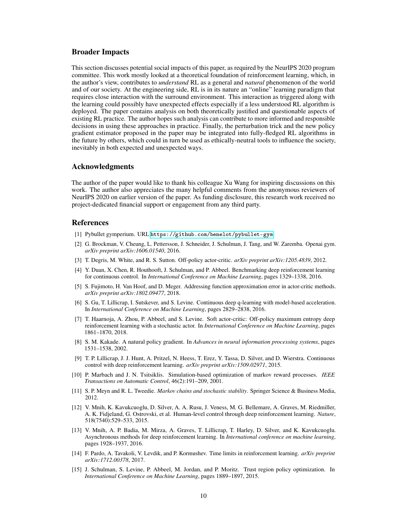## Broader Impacts

This section discusses potential social impacts of this paper, as required by the NeurIPS 2020 program committee. This work mostly looked at a theoretical foundation of reinforcement learning, which, in the author's view, contributes to *understand* RL as a general and *natural* phenomenon of the world and of our society. At the engineering side, RL is in its nature an "online" learning paradigm that requires close interaction with the surround environment. This interaction as triggered along with the learning could possibly have unexpected effects especially if a less understood RL algorithm is deployed. The paper contains analysis on both theoretically justified and questionable aspects of existing RL practice. The author hopes such analysis can contribute to more informed and responsible decisions in using these approaches in practice. Finally, the perturbation trick and the new policy gradient estimator proposed in the paper may be integrated into fully-fledged RL algorithms in the future by others, which could in turn be used as ethically-neutral tools to influence the society, inevitably in both expected and unexpected ways.

#### Acknowledgments

The author of the paper would like to thank his colleague Xu Wang for inspiring discussions on this work. The author also appreciates the many helpful comments from the anonymous reviewers of NeurIPS 2020 on earlier version of the paper. As funding disclosure, this research work received no project-dedicated financial support or engagement from any third party.

## References

- <span id="page-9-10"></span>[1] Pybullet gymperium. URL <https://github.com/benelot/pybullet-gym>.
- <span id="page-9-3"></span>[2] G. Brockman, V. Cheung, L. Pettersson, J. Schneider, J. Schulman, J. Tang, and W. Zaremba. Openai gym. *arXiv preprint arXiv:1606.01540*, 2016.
- <span id="page-9-0"></span>[3] T. Degris, M. White, and R. S. Sutton. Off-policy actor-critic. *arXiv preprint arXiv:1205.4839*, 2012.
- <span id="page-9-7"></span>[4] Y. Duan, X. Chen, R. Houthooft, J. Schulman, and P. Abbeel. Benchmarking deep reinforcement learning for continuous control. In *International Conference on Machine Learning*, pages 1329–1338, 2016.
- [5] S. Fujimoto, H. Van Hoof, and D. Meger. Addressing function approximation error in actor-critic methods. *arXiv preprint arXiv:1802.09477*, 2018.
- [6] S. Gu, T. Lillicrap, I. Sutskever, and S. Levine. Continuous deep q-learning with model-based acceleration. In *International Conference on Machine Learning*, pages 2829–2838, 2016.
- <span id="page-9-9"></span>[7] T. Haarnoja, A. Zhou, P. Abbeel, and S. Levine. Soft actor-critic: Off-policy maximum entropy deep reinforcement learning with a stochastic actor. In *International Conference on Machine Learning*, pages 1861–1870, 2018.
- [8] S. M. Kakade. A natural policy gradient. In *Advances in neural information processing systems*, pages 1531–1538, 2002.
- <span id="page-9-8"></span>[9] T. P. Lillicrap, J. J. Hunt, A. Pritzel, N. Heess, T. Erez, Y. Tassa, D. Silver, and D. Wierstra. Continuous control with deep reinforcement learning. *arXiv preprint arXiv:1509.02971*, 2015.
- <span id="page-9-1"></span>[10] P. Marbach and J. N. Tsitsiklis. Simulation-based optimization of markov reward processes. *IEEE Transactions on Automatic Control*, 46(2):191–209, 2001.
- [11] S. P. Meyn and R. L. Tweedie. *Markov chains and stochastic stability*. Springer Science & Business Media, 2012.
- <span id="page-9-2"></span>[12] V. Mnih, K. Kavukcuoglu, D. Silver, A. A. Rusu, J. Veness, M. G. Bellemare, A. Graves, M. Riedmiller, A. K. Fidjeland, G. Ostrovski, et al. Human-level control through deep reinforcement learning. *Nature*, 518(7540):529–533, 2015.
- <span id="page-9-6"></span>[13] V. Mnih, A. P. Badia, M. Mirza, A. Graves, T. Lillicrap, T. Harley, D. Silver, and K. Kavukcuoglu. Asynchronous methods for deep reinforcement learning. In *International conference on machine learning*, pages 1928–1937, 2016.
- <span id="page-9-4"></span>[14] F. Pardo, A. Tavakoli, V. Levdik, and P. Kormushev. Time limits in reinforcement learning. *arXiv preprint arXiv:1712.00378*, 2017.
- <span id="page-9-5"></span>[15] J. Schulman, S. Levine, P. Abbeel, M. Jordan, and P. Moritz. Trust region policy optimization. In *International Conference on Machine Learning*, pages 1889–1897, 2015.